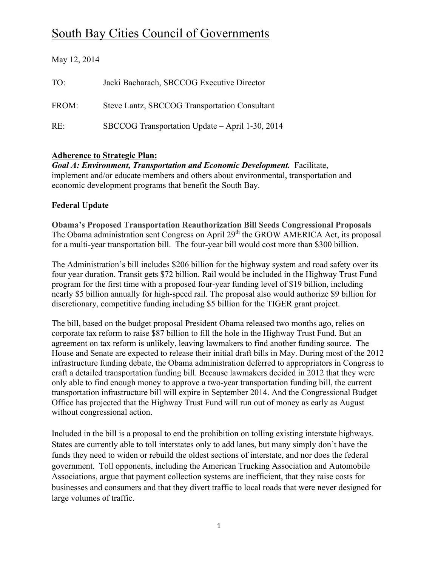# South Bay Cities Council of Governments

| May 12, 2014 |                                                 |
|--------------|-------------------------------------------------|
| TO:          | Jacki Bacharach, SBCCOG Executive Director      |
| FROM:        | Steve Lantz, SBCCOG Transportation Consultant   |
| RE:          | SBCCOG Transportation Update – April 1-30, 2014 |

# **Adherence to Strategic Plan:**

*Goal A: Environment, Transportation and Economic Development.* Facilitate, implement and/or educate members and others about environmental, transportation and economic development programs that benefit the South Bay.

# **Federal Update**

**Obama's Proposed Transportation Reauthorization Bill Seeds Congressional Proposals** The Obama administration sent Congress on April 29<sup>th</sup> the GROW AMERICA Act, its proposal for a multi-year transportation bill. The four-year bill would cost more than \$300 billion.

The Administration's bill includes \$206 billion for the highway system and road safety over its four year duration. Transit gets \$72 billion. Rail would be included in the Highway Trust Fund program for the first time with a proposed four-year funding level of \$19 billion, including nearly \$5 billion annually for high-speed rail. The proposal also would authorize \$9 billion for discretionary, competitive funding including \$5 billion for the TIGER grant project.

The bill, based on the budget proposal President Obama released two months ago, relies on corporate tax reform to raise \$87 billion to fill the hole in the Highway Trust Fund. But an agreement on tax reform is unlikely, leaving lawmakers to find another funding source. The House and Senate are expected to release their initial draft bills in May. During most of the 2012 infrastructure funding debate, the Obama administration deferred to appropriators in Congress to craft a detailed transportation funding bill. Because lawmakers decided in 2012 that they were only able to find enough money to approve a two-year transportation funding bill, the current transportation infrastructure bill will expire in September 2014. And the Congressional Budget Office has projected that the Highway Trust Fund will run out of money as early as August without congressional action.

Included in the bill is a proposal to end the prohibition on tolling existing interstate highways. States are currently able to toll interstates only to add lanes, but many simply don't have the funds they need to widen or rebuild the oldest sections of interstate, and nor does the federal government. Toll opponents, including the American Trucking Association and Automobile Associations, argue that payment collection systems are inefficient, that they raise costs for businesses and consumers and that they divert traffic to local roads that were never designed for large volumes of traffic.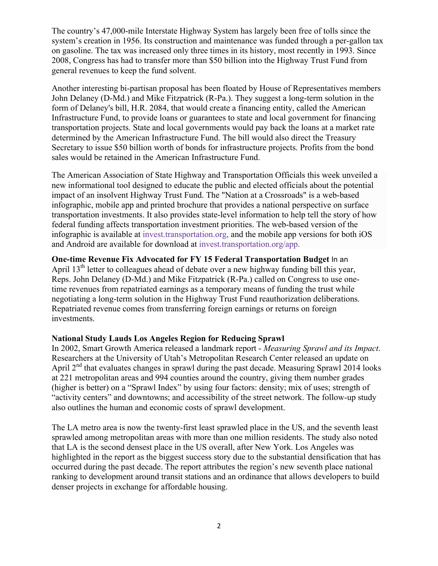The country's 47,000-mile Interstate Highway System has largely been free of tolls since the system's creation in 1956. Its construction and maintenance was funded through a per-gallon tax on gasoline. The tax was increased only three times in its history, most recently in 1993. Since 2008, Congress has had to transfer more than \$50 billion into the Highway Trust Fund from general revenues to keep the fund solvent.

Another interesting bi-partisan proposal has been floated by House of Representatives members John Delaney (D-Md.) and Mike Fitzpatrick (R-Pa.). They suggest a long-term solution in the form of Delaney's bill, H.R. 2084, that would create a financing entity, called the American Infrastructure Fund, to provide loans or guarantees to state and local government for financing transportation projects. State and local governments would pay back the loans at a market rate determined by the American Infrastructure Fund. The bill would also direct the Treasury Secretary to issue \$50 billion worth of bonds for infrastructure projects. Profits from the bond sales would be retained in the American Infrastructure Fund.

The American Association of State Highway and Transportation Officials this week unveiled a new informational tool designed to educate the public and elected officials about the potential impact of an insolvent Highway Trust Fund. The "Nation at a Crossroads" is a web-based infographic, mobile app and printed brochure that provides a national perspective on surface transportation investments. It also provides state-level information to help tell the story of how federal funding affects transportation investment priorities. The web-based version of the infographic is available at invest.transportation.org, and the mobile app versions for both iOS and Android are available for download at invest.transportation.org/app.

**One-time Revenue Fix Advocated for FY 15 Federal Transportation Budget** In an April  $13<sup>th</sup>$  letter to colleagues ahead of debate over a new highway funding bill this year, Reps. John Delaney (D-Md.) and Mike Fitzpatrick (R-Pa.) called on Congress to use onetime revenues from repatriated earnings as a temporary means of funding the trust while negotiating a long-term solution in the Highway Trust Fund reauthorization deliberations. Repatriated revenue comes from transferring foreign earnings or returns on foreign investments.

## **National Study Lauds Los Angeles Region for Reducing Sprawl**

In 2002, Smart Growth America released a landmark report - *Measuring Sprawl and its Impact*. Researchers at the University of Utah's Metropolitan Research Center released an update on April  $2<sup>nd</sup>$  that evaluates changes in sprawl during the past decade. Measuring Sprawl 2014 looks at 221 metropolitan areas and 994 counties around the country, giving them number grades (higher is better) on a "Sprawl Index" by using four factors: density; mix of uses; strength of "activity centers" and downtowns; and accessibility of the street network. The follow-up study also outlines the human and economic costs of sprawl development.

The LA metro area is now the twenty-first least sprawled place in the US, and the seventh least sprawled among metropolitan areas with more than one million residents. The study also noted that LA is the second densest place in the US overall, after New York. Los Angeles was highlighted in the report as the biggest success story due to the substantial densification that has occurred during the past decade. The report attributes the region's new seventh place national ranking to development around transit stations and an ordinance that allows developers to build denser projects in exchange for affordable housing.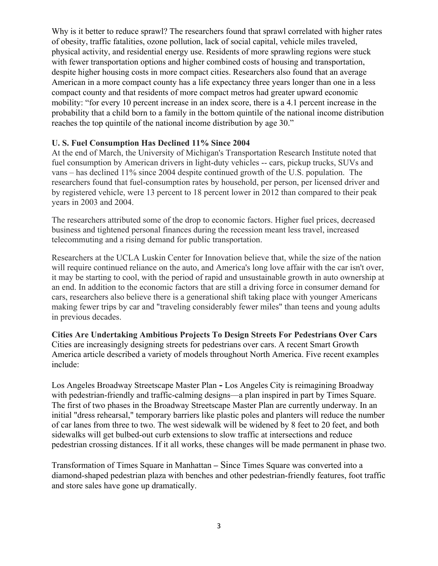Why is it better to reduce sprawl? The researchers found that sprawl correlated with higher rates of obesity, traffic fatalities, ozone pollution, lack of social capital, vehicle miles traveled, physical activity, and residential energy use. Residents of more sprawling regions were stuck with fewer transportation options and higher combined costs of housing and transportation, despite higher housing costs in more compact cities. Researchers also found that an average American in a more compact county has a life expectancy three years longer than one in a less compact county and that residents of more compact metros had greater upward economic mobility: "for every 10 percent increase in an index score, there is a 4.1 percent increase in the probability that a child born to a family in the bottom quintile of the national income distribution reaches the top quintile of the national income distribution by age 30."

## **U. S. Fuel Consumption Has Declined 11% Since 2004**

At the end of March, the University of Michigan's Transportation Research Institute noted that fuel consumption by American drivers in light-duty vehicles -- cars, pickup trucks, SUVs and vans – has declined 11% since 2004 despite continued growth of the U.S. population. The researchers found that fuel-consumption rates by household, per person, per licensed driver and by registered vehicle, were 13 percent to 18 percent lower in 2012 than compared to their peak years in 2003 and 2004.

The researchers attributed some of the drop to economic factors. Higher fuel prices, decreased business and tightened personal finances during the recession meant less travel, increased telecommuting and a rising demand for public transportation.

Researchers at the UCLA Luskin Center for Innovation believe that, while the size of the nation will require continued reliance on the auto, and America's long love affair with the car isn't over, it may be starting to cool, with the period of rapid and unsustainable growth in auto ownership at an end. In addition to the economic factors that are still a driving force in consumer demand for cars, researchers also believe there is a generational shift taking place with younger Americans making fewer trips by car and "traveling considerably fewer miles" than teens and young adults in previous decades.

**Cities Are Undertaking Ambitious Projects To Design Streets For Pedestrians Over Cars** Cities are increasingly designing streets for pedestrians over cars. A recent Smart Growth America article described a variety of models throughout North America. Five recent examples include:

Los Angeles Broadway Streetscape Master Plan **-** Los Angeles City is reimagining Broadway with pedestrian-friendly and traffic-calming designs—a plan inspired in part by Times Square. The first of two phases in the Broadway Streetscape Master Plan are currently underway. In an initial "dress rehearsal," temporary barriers like plastic poles and planters will reduce the number of car lanes from three to two. The west sidewalk will be widened by 8 feet to 20 feet, and both sidewalks will get bulbed-out curb extensions to slow traffic at intersections and reduce pedestrian crossing distances. If it all works, these changes will be made permanent in phase two.

Transformation of Times Square in Manhattan **–** Since Times Square was converted into a diamond-shaped pedestrian plaza with benches and other pedestrian-friendly features, foot traffic and store sales have gone up dramatically.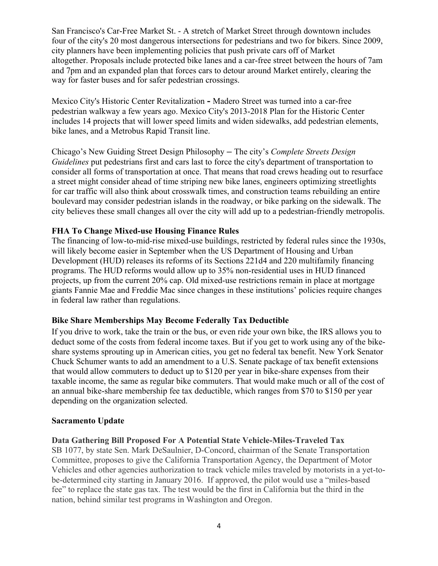San Francisco's Car-Free Market St. - A stretch of Market Street through downtown includes four of the city's 20 most dangerous intersections for pedestrians and two for bikers. Since 2009, city planners have been implementing policies that push private cars off of Market altogether. Proposals include protected bike lanes and a car-free street between the hours of 7am and 7pm and an expanded plan that forces cars to detour around Market entirely, clearing the way for faster buses and for safer pedestrian crossings.

Mexico City's Historic Center Revitalization **-** Madero Street was turned into a car-free pedestrian walkway a few years ago. Mexico City's 2013-2018 Plan for the Historic Center includes 14 projects that will lower speed limits and widen sidewalks, add pedestrian elements, bike lanes, and a Metrobus Rapid Transit line.

Chicago's New Guiding Street Design Philosophy **–** The city's *Complete Streets Design Guidelines* put pedestrians first and cars last to force the city's department of transportation to consider all forms of transportation at once. That means that road crews heading out to resurface a street might consider ahead of time striping new bike lanes, engineers optimizing streetlights for car traffic will also think about crosswalk times, and construction teams rebuilding an entire boulevard may consider pedestrian islands in the roadway, or bike parking on the sidewalk. The city believes these small changes all over the city will add up to a pedestrian-friendly metropolis.

## **FHA To Change Mixed-use Housing Finance Rules**

The financing of low-to-mid-rise mixed-use buildings, restricted by federal rules since the 1930s, will likely become easier in September when the US Department of Housing and Urban Development (HUD) releases its reforms of its Sections 221d4 and 220 multifamily financing programs. The HUD reforms would allow up to 35% non-residential uses in HUD financed projects, up from the current 20% cap. Old mixed-use restrictions remain in place at mortgage giants Fannie Mae and Freddie Mac since changes in these institutions' policies require changes in federal law rather than regulations.

#### **Bike Share Memberships May Become Federally Tax Deductible**

If you drive to work, take the train or the bus, or even ride your own bike, the IRS allows you to deduct some of the costs from federal income taxes. But if you get to work using any of the bikeshare systems sprouting up in American cities, you get no federal tax benefit. New York Senator Chuck Schumer wants to add an amendment to a U.S. Senate package of tax benefit extensions that would allow commuters to deduct up to \$120 per year in bike-share expenses from their taxable income, the same as regular bike commuters. That would make much or all of the cost of an annual bike-share membership fee tax deductible, which ranges from \$70 to \$150 per year depending on the organization selected.

#### **Sacramento Update**

#### **Data Gathering Bill Proposed For A Potential State Vehicle-Miles-Traveled Tax**

SB 1077, by state Sen. Mark DeSaulnier, D-Concord, chairman of the Senate Transportation Committee, proposes to give the California Transportation Agency, the Department of Motor Vehicles and other agencies authorization to track vehicle miles traveled by motorists in a yet-tobe-determined city starting in January 2016. If approved, the pilot would use a "miles-based fee" to replace the state gas tax. The test would be the first in California but the third in the nation, behind similar test programs in Washington and Oregon.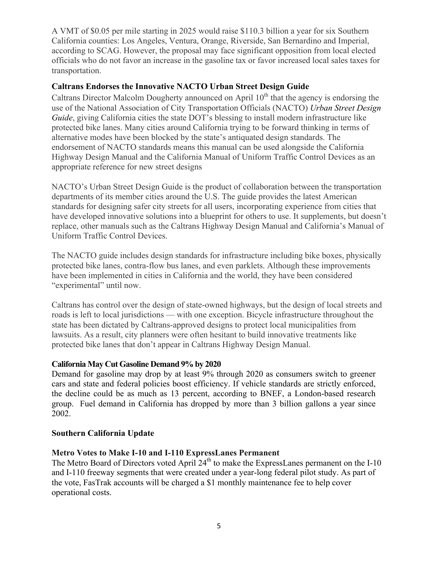A VMT of \$0.05 per mile starting in 2025 would raise \$110.3 billion a year for six Southern California counties: Los Angeles, Ventura, Orange, Riverside, San Bernardino and Imperial, according to SCAG. However, the proposal may face significant opposition from local elected officials who do not favor an increase in the gasoline tax or favor increased local sales taxes for transportation.

## **Caltrans Endorses the Innovative NACTO Urban Street Design Guide**

Caltrans Director Malcolm Dougherty announced on April  $10<sup>th</sup>$  that the agency is endorsing the use of the National Association of City Transportation Officials (NACTO) *Urban Street Design Guide*, giving California cities the state DOT's blessing to install modern infrastructure like protected bike lanes. Many cities around California trying to be forward thinking in terms of alternative modes have been blocked by the state's antiquated design standards. The endorsement of NACTO standards means this manual can be used alongside the California Highway Design Manual and the California Manual of Uniform Traffic Control Devices as an appropriate reference for new street designs

NACTO's Urban Street Design Guide is the product of collaboration between the transportation departments of its member cities around the U.S. The guide provides the latest American standards for designing safer city streets for all users, incorporating experience from cities that have developed innovative solutions into a blueprint for others to use. It supplements, but doesn't replace, other manuals such as the Caltrans Highway Design Manual and California's Manual of Uniform Traffic Control Devices.

The NACTO guide includes design standards for infrastructure including bike boxes, physically protected bike lanes, contra-flow bus lanes, and even parklets. Although these improvements have been implemented in cities in California and the world, they have been considered "experimental" until now.

Caltrans has control over the design of state-owned highways, but the design of local streets and roads is left to local jurisdictions — with one exception. Bicycle infrastructure throughout the state has been dictated by Caltrans-approved designs to protect local municipalities from lawsuits. As a result, city planners were often hesitant to build innovative treatments like protected bike lanes that don't appear in Caltrans Highway Design Manual.

## **California May Cut Gasoline Demand 9% by 2020**

Demand for gasoline may drop by at least 9% through 2020 as consumers switch to greener cars and state and federal policies boost efficiency. If vehicle standards are strictly enforced, the decline could be as much as 13 percent, according to BNEF, a London-based research group. Fuel demand in California has dropped by more than 3 billion gallons a year since 2002.

## **Southern California Update**

## **Metro Votes to Make I-10 and I-110 ExpressLanes Permanent**

The Metro Board of Directors voted April  $24<sup>th</sup>$  to make the ExpressLanes permanent on the I-10 and I-110 freeway segments that were created under a year-long federal pilot study. As part of the vote, FasTrak accounts will be charged a \$1 monthly maintenance fee to help cover operational costs.